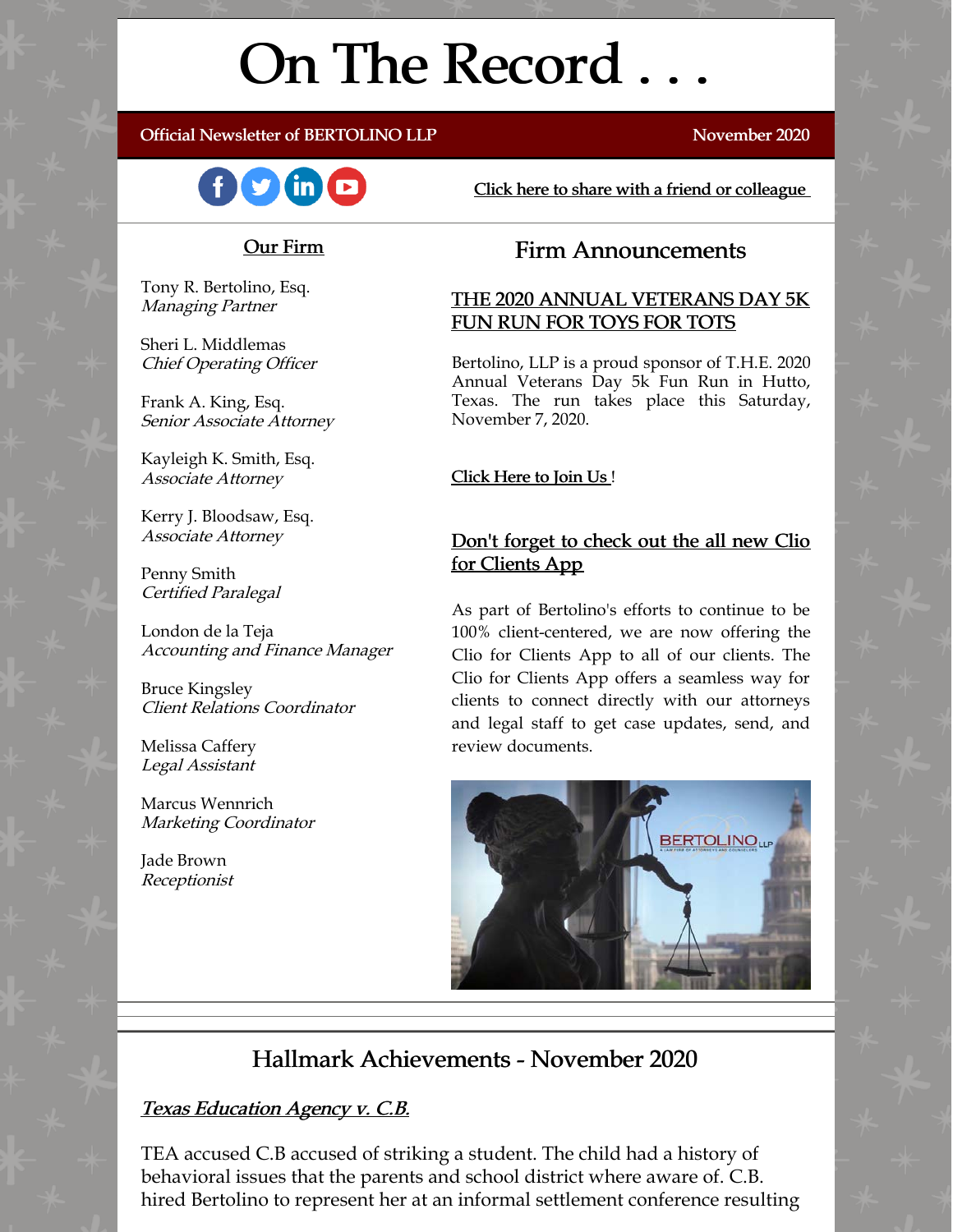# On The Record . . .

#### Official Newsletter of BERTOLINO LLP November 2020



[Click here to share with a friend or colleague](https://visitor.r20.constantcontact.com/manage/optin?v=001xvcZBIZGArRYZxP_ENhTFsnPqgcrAHF_8FAGh0C6OoU_TYzgqPeo9kiI5F5Vb-xdZP7jClYZWX2ttQp6Q7JygJ1sq0DH9MDHJwjzNoREDc4=)

## Our Firm

Tony R. Bertolino, Esq. Managing Partner

Sheri L. Middlemas Chief Operating Officer

Frank A. King, Esq. Senior Associate Attorney

Kayleigh K. Smith, Esq. Associate Attorney

Kerry J. Bloodsaw, Esq. Associate Attorney

Penny Smith Certified Paralegal

London de la Teja Accounting and Finance Manager

Bruce Kingsley Client Relations Coordinator

Melissa Caffery Legal Assistant

Marcus Wennrich Marketing Coordinator

Jade Brown Receptionist

# Firm Announcements

## THE 2020 ANNUAL VETERANS DAY 5K FUN RUN FOR TOYS FOR TOTS

Bertolino, LLP is a proud sponsor of T.H.E. 2020 Annual Veterans Day 5k Fun Run in Hutto, Texas. The run takes place this Saturday, November 7, 2020.

#### [Click Here to Join Us](https://runsignup.com/Race/Events/TX/Hutto/THE2020VetsDay5KAnnualFunRunforToysforTots) !

# Don't forget to check out the all new Clio for Clients App

As part of Bertolino's efforts to continue to be 100% client-centered, we are now offering the Clio for Clients App to all of our clients. The Clio for Clients App offers a seamless way for clients to connect directly with our attorneys and legal staff to get case updates, send, and review documents.



# Hallmark Achievements - November 2020

## Texas Education Agency v. C.B.

TEA accused C.B accused of striking a student. The child had a history of behavioral issues that the parents and school district where aware of. C.B. hired Bertolino to represent her at an informal settlement conference resulting